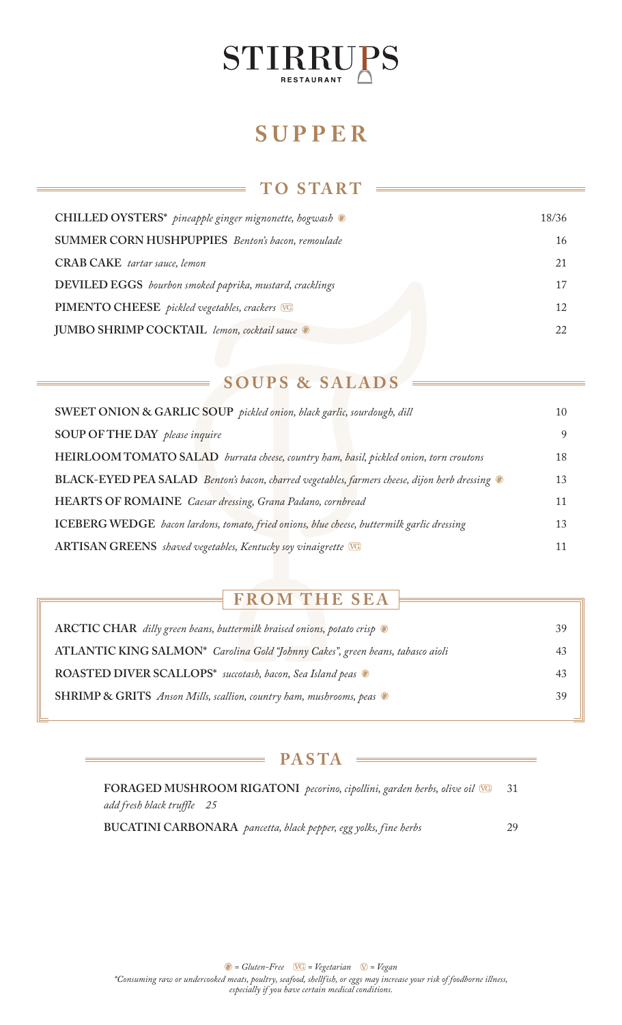

# **SUPPER**

### **TO S TA RT**

| CHILLED OYSTERS* pineapple ginger mignonette, hogwash    | 18/36 |
|----------------------------------------------------------|-------|
| <b>SUMMER CORN HUSHPUPPIES</b> Benton's bacon, remoulade | 16    |
| <b>CRAB CAKE</b> tartar sauce, lemon                     | 21    |
| DEVILED EGGS bourbon smoked paprika, mustard, cracklings | 17    |
| PIMENTO CHEESE pickled vegetables, crackers VG           | 12    |
| JUMBO SHRIMP COCKTAIL lemon, cocktail sauce              | 22    |

### **SOUPS & SALADS**

| SWEET ONION & GARLIC SOUP pickled onion, black garlic, sourdough, dill                       |    |
|----------------------------------------------------------------------------------------------|----|
| SOUP OF THE DAY please inquire                                                               |    |
| HEIRLOOM TOMATO SALAD burrata cheese, country ham, basil, pickled onion, torn croutons       | 18 |
| BLACK-EYED PEA SALAD Benton's bacon, charred vegetables, farmers cheese, dijon herb dressing |    |
| HEARTS OF ROMAINE Caesar dressing, Grana Padano, cornbread                                   |    |
| ICEBERG WEDGE bacon lardons, tomato, fried onions, blue cheese, buttermilk garlic dressing   |    |
| ARTISAN GREENS shaved vegetables, Kentucky soy vinaigrette VG                                |    |

## **FROM THE SEA**

| ARCTIC CHAR dilly green beans, buttermilk braised onions, potato crisp                  | 39 |
|-----------------------------------------------------------------------------------------|----|
| ATLANTIC KING SALMON* Carolina Gold "Johnny Cakes", green beans, tabasco aioli          | 43 |
| ROASTED DIVER SCALLOPS* succotash, bacon, Sea Island peas $\bullet$                     | 43 |
| <b>SHRIMP &amp; GRITS</b> Anson Mills, scallion, country ham, mushrooms, peas $\bullet$ | 39 |
|                                                                                         |    |

#### $PASTA =$

**FORAGED MUSHROOM RIGATONI** *pecorino, cipollini, garden herbs, olive oil* 31 *add fresh black truffle 25*

**BUCATINI CARBONARA** *pancetta, black pepper, egg yolks, fine herbs* 29

 $\bullet$  = Gluten-Free  $\overline{VG}$  = Vegetarian  $\overline{V}$  = Vegan *\*Consuming raw or undercooked meats, poultry, seafood, shellfish, or eggs may increase your risk of foodborne illness, especially if you have certain medical conditions.*